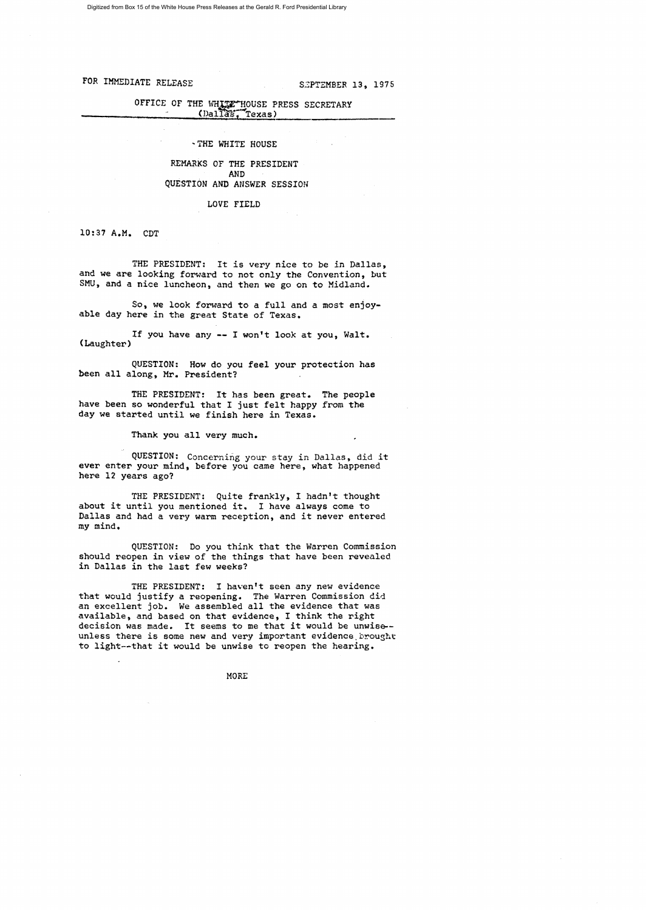Digitized from Box 15 of the White House Press Releases at the Gerald R. Ford Presidential Library

FOR IMMEDIATE RELEASE SEPTEMBER 13, 1975

# OFFICE OF THE WHITE HOUSE PRESS SECRETARY (Dallas, Texas)

### 'THE WHITE HOUSE

## REMARKS OF THE PRESIDENT AND QUESTION AND ANSWER SESSION

LOVE FIELD

10:37 A.M. CDT

THE PRESIDENT: It is very nice to be in Dallas, and we are looking forward to not only the Convention, but SMU, and a nice luncheon, and then we go on to Midland.

So, we look forward to a full and a most enjoyable day here in the great State of Texas.

If you have any **--** I won't look at you, Walt. (Laughter)

QUESTION: How do you feel your protection has been all along, Mr. President?

THE PRESIDENT: It has been great. The people have been so wonderful that I just felt happy from the day we started until we finish here in Texas.

Thank you all very much.

QUESTION: Concerning your stay in Dallas, did it ever enter your mind, before you came here, what happened here 12 years ago?

THE PRESIDENT: Quite frankly, I hadn't thought about it until you mentioned it. I have always come to Dallas and had a very warm reception, and it never entered my mind.

QUESTION: Do you think that the Warren Commission should reopen in view of the things that have been revealed in Dallas in the last few weeks?

THE PRESIDENT: I haven't seen any new evidence that would justify a reopening. The Warren Commission did an excellent job. We assembled all the evidence that was available, and based on that evidence, I think the right decision was made. It seems to me that it would be unwise-unless there is some new and very important evidence brought to light--that it would be unwise to reopen the hearing.